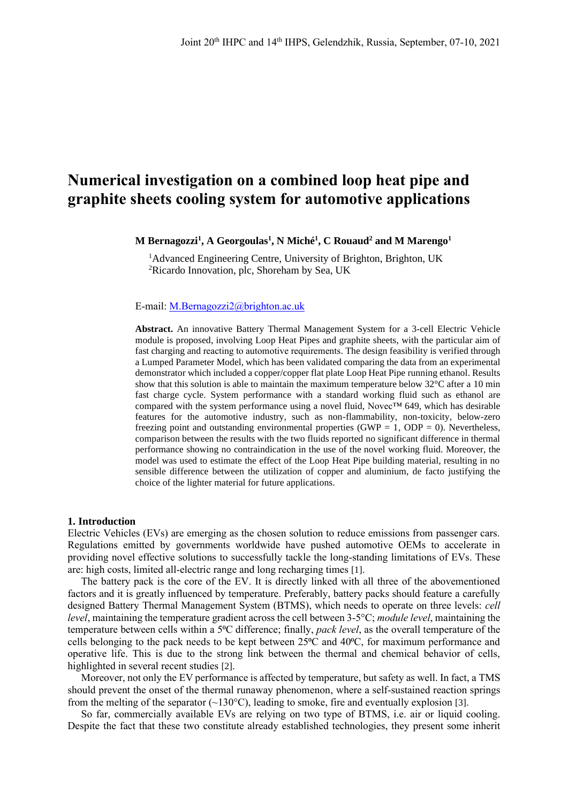# **Numerical investigation on a combined loop heat pipe and graphite sheets cooling system for automotive applications**

**M Bernagozzi<sup>1</sup> , A Georgoulas<sup>1</sup> , N Miché<sup>1</sup> , C Rouaud<sup>2</sup> and M Marengo<sup>1</sup>**

<sup>1</sup>Advanced Engineering Centre, University of Brighton, Brighton, UK <sup>2</sup>Ricardo Innovation, plc, Shoreham by Sea, UK

E-mail: [M.Bernagozzi2@brighton.ac.uk](mailto:M.Bernagozzi2@brighton.ac.uk)

**Abstract.** An innovative Battery Thermal Management System for a 3-cell Electric Vehicle module is proposed, involving Loop Heat Pipes and graphite sheets, with the particular aim of fast charging and reacting to automotive requirements. The design feasibility is verified through a Lumped Parameter Model, which has been validated comparing the data from an experimental demonstrator which included a copper/copper flat plate Loop Heat Pipe running ethanol. Results show that this solution is able to maintain the maximum temperature below  $32^{\circ}$ C after a 10 min fast charge cycle. System performance with a standard working fluid such as ethanol are compared with the system performance using a novel fluid, Novec™ 649, which has desirable features for the automotive industry, such as non-flammability, non-toxicity, below-zero freezing point and outstanding environmental properties (GWP =  $1$ , ODP = 0). Nevertheless, comparison between the results with the two fluids reported no significant difference in thermal performance showing no contraindication in the use of the novel working fluid. Moreover, the model was used to estimate the effect of the Loop Heat Pipe building material, resulting in no sensible difference between the utilization of copper and aluminium, de facto justifying the choice of the lighter material for future applications.

#### **1. Introduction**

Electric Vehicles (EVs) are emerging as the chosen solution to reduce emissions from passenger cars. Regulations emitted by governments worldwide have pushed automotive OEMs to accelerate in providing novel effective solutions to successfully tackle the long-standing limitations of EVs. These are: high costs, limited all-electric range and long recharging times [1].

The battery pack is the core of the EV. It is directly linked with all three of the abovementioned factors and it is greatly influenced by temperature. Preferably, battery packs should feature a carefully designed Battery Thermal Management System (BTMS), which needs to operate on three levels: *cell level*, maintaining the temperature gradient across the cell between 3-5°C; *module level*, maintaining the temperature between cells within a 5⁰C difference; finally, *pack level*, as the overall temperature of the cells belonging to the pack needs to be kept between  $25^{\circ}\text{C}$  and  $40^{\circ}\text{C}$ , for maximum performance and operative life. This is due to the strong link between the thermal and chemical behavior of cells, highlighted in several recent studies [2].

Moreover, not only the EV performance is affected by temperature, but safety as well. In fact, a TMS should prevent the onset of the thermal runaway phenomenon, where a self-sustained reaction springs from the melting of the separator  $(\sim 130^{\circ}C)$ , leading to smoke, fire and eventually explosion [3].

So far, commercially available EVs are relying on two type of BTMS, i.e. air or liquid cooling. Despite the fact that these two constitute already established technologies, they present some inherit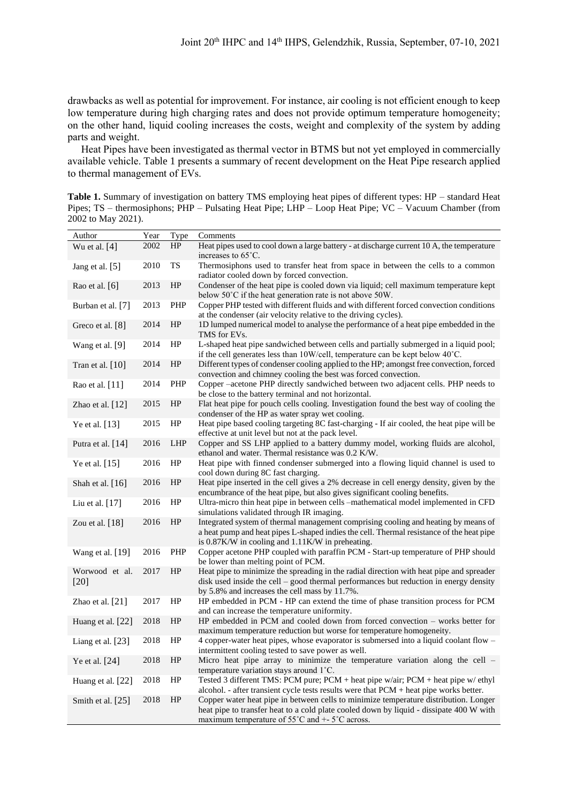drawbacks as well as potential for improvement. For instance, air cooling is not efficient enough to keep low temperature during high charging rates and does not provide optimum temperature homogeneity; on the other hand, liquid cooling increases the costs, weight and complexity of the system by adding parts and weight.

Heat Pipes have been investigated as thermal vector in BTMS but not yet employed in commercially available vehicle. [Table 1](#page-1-0) presents a summary of recent development on the Heat Pipe research applied to thermal management of EVs.

<span id="page-1-0"></span>**Table 1.** Summary of investigation on battery TMS employing heat pipes of different types: HP – standard Heat Pipes; TS – thermosiphons; PHP – Pulsating Heat Pipe; LHP – Loop Heat Pipe; VC – Vacuum Chamber (from 2002 to May 2021).

| Author                   | Year | Type       | Comments                                                                                                                                                                                                                                                 |
|--------------------------|------|------------|----------------------------------------------------------------------------------------------------------------------------------------------------------------------------------------------------------------------------------------------------------|
| Wu et al. $[4]$          | 2002 | HP         | Heat pipes used to cool down a large battery - at discharge current 10 A, the temperature<br>increases to 65°C.                                                                                                                                          |
| Jang et al. [5]          | 2010 | TS         | Thermosiphons used to transfer heat from space in between the cells to a common<br>radiator cooled down by forced convection.                                                                                                                            |
| Rao et al. $[6]$         | 2013 | HP         | Condenser of the heat pipe is cooled down via liquid; cell maximum temperature kept<br>below 50°C if the heat generation rate is not above 50W.                                                                                                          |
| Burban et al. [7]        | 2013 | PHP        | Copper PHP tested with different fluids and with different forced convection conditions<br>at the condenser (air velocity relative to the driving cycles).                                                                                               |
| Greco et al. [8]         | 2014 | HP         | 1D lumped numerical model to analyse the performance of a heat pipe embedded in the<br>TMS for EVs.                                                                                                                                                      |
| Wang et al. [9]          | 2014 | HP         | L-shaped heat pipe sandwiched between cells and partially submerged in a liquid pool;<br>if the cell generates less than $10W/cell$ , temperature can be kept below $40^{\circ}$ C.                                                                      |
| Tran et al. $[10]$       | 2014 | HP         | Different types of condenser cooling applied to the HP; amongst free convection, forced<br>convection and chimney cooling the best was forced convection.                                                                                                |
| Rao et al. [11]          | 2014 | PHP        | Copper -acetone PHP directly sandwiched between two adjacent cells. PHP needs to<br>be close to the battery terminal and not horizontal.                                                                                                                 |
| Zhao et al. [12]         | 2015 | HP         | Flat heat pipe for pouch cells cooling. Investigation found the best way of cooling the<br>condenser of the HP as water spray wet cooling.                                                                                                               |
| Ye et al. [13]           | 2015 | HP         | Heat pipe based cooling targeting 8C fast-charging - If air cooled, the heat pipe will be<br>effective at unit level but not at the pack level.                                                                                                          |
| Putra et al. $[14]$      | 2016 | <b>LHP</b> | Copper and SS LHP applied to a battery dummy model, working fluids are alcohol,<br>ethanol and water. Thermal resistance was 0.2 K/W.                                                                                                                    |
| Ye et al. [15]           | 2016 | HP         | Heat pipe with finned condenser submerged into a flowing liquid channel is used to<br>cool down during 8C fast charging.                                                                                                                                 |
| Shah et al. [16]         | 2016 | HP         | Heat pipe inserted in the cell gives a 2% decrease in cell energy density, given by the<br>encumbrance of the heat pipe, but also gives significant cooling benefits.                                                                                    |
| Liu et al. $[17]$        | 2016 | HP         | Ultra-micro thin heat pipe in between cells -mathematical model implemented in CFD<br>simulations validated through IR imaging.                                                                                                                          |
| Zou et al. [18]          | 2016 | HP         | Integrated system of thermal management comprising cooling and heating by means of<br>a heat pump and heat pipes L-shaped indies the cell. Thermal resistance of the heat pipe<br>is 0.87K/W in cooling and 1.11K/W in preheating.                       |
| Wang et al. [19]         | 2016 | PHP        | Copper acetone PHP coupled with paraffin PCM - Start-up temperature of PHP should<br>be lower than melting point of PCM.                                                                                                                                 |
| Worwood et al.<br>$[20]$ | 2017 | HP         | Heat pipe to minimize the spreading in the radial direction with heat pipe and spreader<br>disk used inside the cell – good thermal performances but reduction in energy density<br>by 5.8% and increases the cell mass by 11.7%.                        |
| Zhao et al. [21]         | 2017 | HP         | HP embedded in PCM - HP can extend the time of phase transition process for PCM<br>and can increase the temperature uniformity.                                                                                                                          |
| Huang et al. [22]        | 2018 | HP         | HP embedded in PCM and cooled down from forced convection – works better for<br>maximum temperature reduction but worse for temperature homogeneity.                                                                                                     |
| Liang et al. [23]        | 2018 | HP         | 4 copper-water heat pipes, whose evaporator is submersed into a liquid coolant flow -<br>intermittent cooling tested to save power as well.                                                                                                              |
| Ye et al. [24]           | 2018 | HP         | Micro heat pipe array to minimize the temperature variation along the cell -<br>temperature variation stays around 1°C.                                                                                                                                  |
| Huang et al. [22]        | 2018 | HP         | Tested 3 different TMS: PCM pure; PCM + heat pipe w/air; PCM + heat pipe w/ ethyl<br>alcohol. - after transient cycle tests results were that PCM + heat pipe works better.                                                                              |
| Smith et al. [25]        | 2018 | HP         | Copper water heat pipe in between cells to minimize temperature distribution. Longer<br>heat pipe to transfer heat to a cold plate cooled down by liquid - dissipate 400 W with<br>maximum temperature of $55^{\circ}$ C and $+$ - $5^{\circ}$ C across. |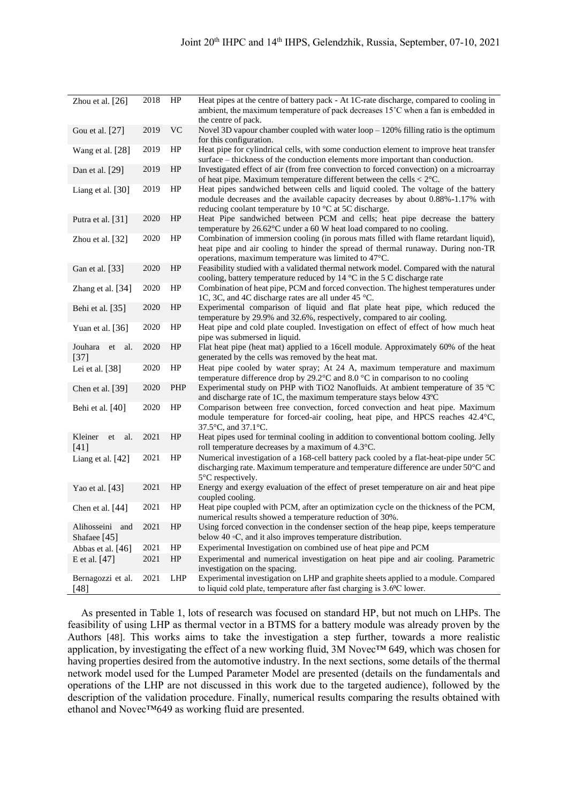| Zhou et al. $[26]$                 | 2018 | HP         | Heat pipes at the centre of battery pack - At 1C-rate discharge, compared to cooling in<br>ambient, the maximum temperature of pack decreases $15^{\circ}$ C when a fan is embedded in                                                      |  |  |  |  |
|------------------------------------|------|------------|---------------------------------------------------------------------------------------------------------------------------------------------------------------------------------------------------------------------------------------------|--|--|--|--|
| Gou et al. [27]                    | 2019 | <b>VC</b>  | the centre of pack.<br>Novel 3D vapour chamber coupled with water $loop - 120\%$ filling ratio is the optimum                                                                                                                               |  |  |  |  |
|                                    |      |            | for this configuration.                                                                                                                                                                                                                     |  |  |  |  |
| Wang et al. [28]                   | 2019 | HP         | Heat pipe for cylindrical cells, with some conduction element to improve heat transfer<br>surface – thickness of the conduction elements more important than conduction.                                                                    |  |  |  |  |
| Dan et al. $[29]$                  | 2019 | HP         | Investigated effect of air (from free convection to forced convection) on a microarray<br>of heat pipe. Maximum temperature different between the cells $< 2^{\circ}C$ .                                                                    |  |  |  |  |
| Liang et al. [30]                  | 2019 | HP         | Heat pipes sandwiched between cells and liquid cooled. The voltage of the battery<br>module decreases and the available capacity decreases by about 0.88%-1.17% with<br>reducing coolant temperature by 10 $\degree$ C at 5C discharge.     |  |  |  |  |
| Putra et al. [31]                  | 2020 | HP         | Heat Pipe sandwiched between PCM and cells; heat pipe decrease the battery<br>temperature by 26.62°C under a 60 W heat load compared to no cooling.                                                                                         |  |  |  |  |
| Zhou et al. $[32]$                 | 2020 | HP         | Combination of immersion cooling (in porous mats filled with flame retardant liquid),<br>heat pipe and air cooling to hinder the spread of thermal runaway. During non-TR<br>operations, maximum temperature was limited to $47^{\circ}$ C. |  |  |  |  |
| Gan et al. [33]                    | 2020 | HP         | Feasibility studied with a validated thermal network model. Compared with the natural<br>cooling, battery temperature reduced by $14 \degree C$ in the 5 C discharge rate                                                                   |  |  |  |  |
| Zhang et al. [34]                  | 2020 | HP         | Combination of heat pipe, PCM and forced convection. The highest temperatures under<br>1C, 3C, and 4C discharge rates are all under 45 °C.                                                                                                  |  |  |  |  |
| Behi et al. [35]                   | 2020 | HP         | Experimental comparison of liquid and flat plate heat pipe, which reduced the<br>temperature by 29.9% and 32.6%, respectively, compared to air cooling.                                                                                     |  |  |  |  |
| Yuan et al. $[36]$                 | 2020 | HP         | Heat pipe and cold plate coupled. Investigation on effect of effect of how much heat<br>pipe was submersed in liquid.                                                                                                                       |  |  |  |  |
| Jouhara<br>et<br>al.<br>$[37]$     | 2020 | HP         | Flat heat pipe (heat mat) applied to a 16cell module. Approximately 60% of the heat<br>generated by the cells was removed by the heat mat.                                                                                                  |  |  |  |  |
| Lei et al. [38]                    | 2020 | HP         | Heat pipe cooled by water spray; At 24 A, maximum temperature and maximum<br>temperature difference drop by 29.2 $\degree$ C and 8.0 $\degree$ C in comparison to no cooling                                                                |  |  |  |  |
| Chen et al. [39]                   | 2020 | PHP        | Experimental study on PHP with TiO2 Nanofluids. At ambient temperature of 35 °C<br>and discharge rate of 1C, the maximum temperature stays below $43^{\circ}$ C                                                                             |  |  |  |  |
| Behi et al. [40]                   | 2020 | HP         | Comparison between free convection, forced convection and heat pipe. Maximum<br>module temperature for forced-air cooling, heat pipe, and HPCS reaches 42.4 °C,<br>37.5°C, and 37.1°C.                                                      |  |  |  |  |
| al.<br>Kleiner<br>et<br>$[41]$     | 2021 | HP         | Heat pipes used for terminal cooling in addition to conventional bottom cooling. Jelly<br>roll temperature decreases by a maximum of 4.3°C.                                                                                                 |  |  |  |  |
| Liang et al. [42]                  | 2021 | HP         | Numerical investigation of a 168-cell battery pack cooled by a flat-heat-pipe under 5C<br>discharging rate. Maximum temperature and temperature difference are under 50°C and<br>$5^{\circ}$ C respectively.                                |  |  |  |  |
| Yao et al. [43]                    | 2021 | HP         | Energy and exergy evaluation of the effect of preset temperature on air and heat pipe<br>coupled cooling.                                                                                                                                   |  |  |  |  |
| Chen et al. $[44]$                 | 2021 | HP         | Heat pipe coupled with PCM, after an optimization cycle on the thickness of the PCM,<br>numerical results showed a temperature reduction of 30%.                                                                                            |  |  |  |  |
| Alihosseini<br>and<br>Shafaee [45] | 2021 | HP         | Using forced convection in the condenser section of the heap pipe, keeps temperature<br>below 40 °C, and it also improves temperature distribution.                                                                                         |  |  |  |  |
| Abbas et al. [46]                  | 2021 | HP         | Experimental Investigation on combined use of heat pipe and PCM                                                                                                                                                                             |  |  |  |  |
| E et al. [47]                      | 2021 | HP         | Experimental and numerical investigation on heat pipe and air cooling. Parametric<br>investigation on the spacing.                                                                                                                          |  |  |  |  |
| Bernagozzi et al.<br>$[48]$        | 2021 | <b>LHP</b> | Experimental investigation on LHP and graphite sheets applied to a module. Compared<br>to liquid cold plate, temperature after fast charging is 3.6 °C lower.                                                                               |  |  |  |  |

As presented in [Table 1](#page-1-0), lots of research was focused on standard HP, but not much on LHPs. The feasibility of using LHP as thermal vector in a BTMS for a battery module was already proven by the Authors [48]. This works aims to take the investigation a step further, towards a more realistic application, by investigating the effect of a new working fluid, 3M Novec™ 649, which was chosen for having properties desired from the automotive industry. In the next sections, some details of the thermal network model used for the Lumped Parameter Model are presented (details on the fundamentals and operations of the LHP are not discussed in this work due to the targeted audience), followed by the description of the validation procedure. Finally, numerical results comparing the results obtained with ethanol and Novec™649 as working fluid are presented.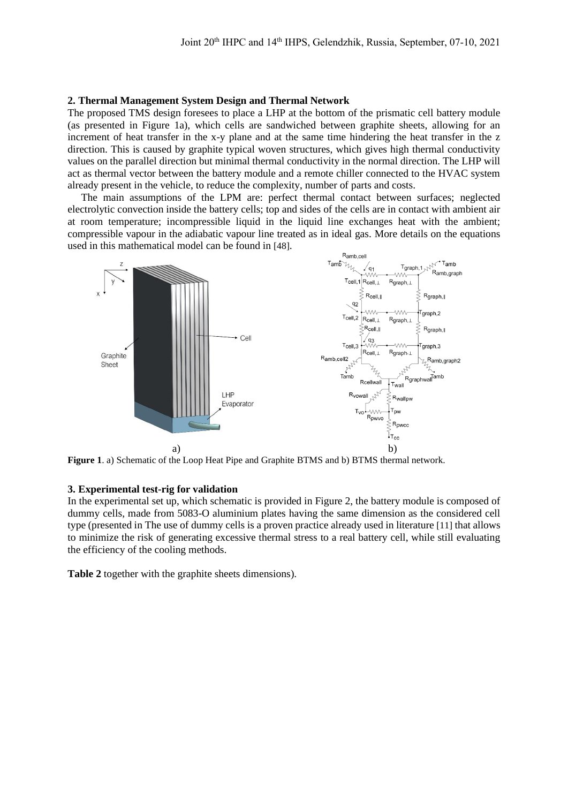#### **2. Thermal Management System Design and Thermal Network**

The proposed TMS design foresees to place a LHP at the bottom of the prismatic cell battery module (as presented in [Figure 1a](#page-3-0)), which cells are sandwiched between graphite sheets, allowing for an increment of heat transfer in the x-y plane and at the same time hindering the heat transfer in the z direction. This is caused by graphite typical woven structures, which gives high thermal conductivity values on the parallel direction but minimal thermal conductivity in the normal direction. The LHP will act as thermal vector between the battery module and a remote chiller connected to the HVAC system already present in the vehicle, to reduce the complexity, number of parts and costs.

The main assumptions of the LPM are: perfect thermal contact between surfaces; neglected electrolytic convection inside the battery cells; top and sides of the cells are in contact with ambient air at room temperature; incompressible liquid in the liquid line exchanges heat with the ambient; compressible vapour in the adiabatic vapour line treated as in ideal gas. More details on the equations used in this mathematical model can be found in [48].



<span id="page-3-0"></span>**Figure 1**. a) Schematic of the Loop Heat Pipe and Graphite BTMS and b) BTMS thermal network.

#### **3. Experimental test-rig for validation**

In the experimental set up, which schematic is provided in [Figure 2,](#page-4-0) the battery module is composed of dummy cells, made from 5083-O aluminium plates having the same dimension as the considered cell type (presented in The use [of dummy cells is a proven practice already used in literature](#page-4-1) [11] that allows to minimize the risk of generating excessive thermal stress [to a real battery cell, while still evaluating](#page-4-1)  [the efficiency of the cooling methods.](#page-4-1)

**[Table 2](#page-4-1)** together with the graphite sheets dimensions).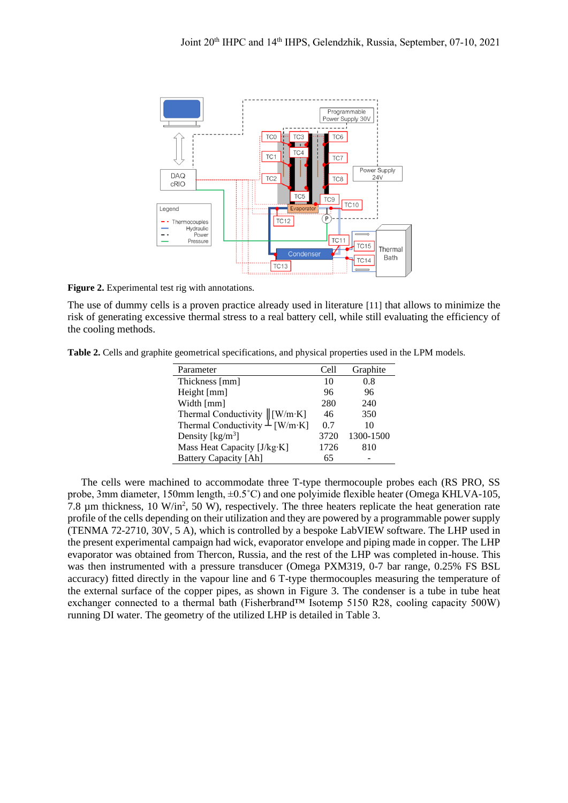

<span id="page-4-0"></span>**Figure 2.** Experimental test rig with annotations.

<span id="page-4-1"></span>The use of dummy cells is a proven practice already used in literature [11] that allows to minimize the risk of generating excessive thermal stress to a real battery cell, while still evaluating the efficiency of the cooling methods.

**Table 2.** Cells and graphite geometrical specifications, and physical properties used in the LPM models.

| Parameter                            | Cell | Graphite  |
|--------------------------------------|------|-----------|
| Thickness [mm]                       | 10   | 0.8       |
| Height [mm]                          | 96   | 96        |
| Width [mm]                           | 280  | 240       |
| Thermal Conductivity $\  [W/m·K]$    | 46   | 350       |
| Thermal Conductivity $\perp$ [W/m·K] | 0.7  | 10        |
| Density [ $\text{kg/m}^3$ ]          | 3720 | 1300-1500 |
| Mass Heat Capacity [J/kg·K]          | 1726 | 810       |
| <b>Battery Capacity [Ah]</b>         | 65   |           |

The cells were machined to accommodate three T-type thermocouple probes each (RS PRO, SS probe, 3mm diameter, 150mm length, ±0.5˚C) and one polyimide flexible heater (Omega KHLVA-105, 7.8  $\mu$ m thickness, 10 W/in<sup>2</sup>, 50 W), respectively. The three heaters replicate the heat generation rate profile of the cells depending on their utilization and they are powered by a programmable power supply (TENMA 72-2710, 30V, 5 A), which is controlled by a bespoke LabVIEW software. The LHP used in the present experimental campaign had wick, evaporator envelope and piping made in copper. The LHP evaporator was obtained from Thercon, Russia, and the rest of the LHP was completed in-house. This was then instrumented with a pressure transducer (Omega PXM319, 0-7 bar range, 0.25% FS BSL accuracy) fitted directly in the vapour line and 6 T-type thermocouples measuring the temperature of the external surface of the copper pipes, as shown in [Figure 3.](#page-5-0) The condenser is a tube in tube heat exchanger connected to a thermal bath (Fisherbrand™ Isotemp 5150 R28, cooling capacity 500W) running DI water. The geometry of the utilized LHP is detailed in [Table 3.](#page-5-1)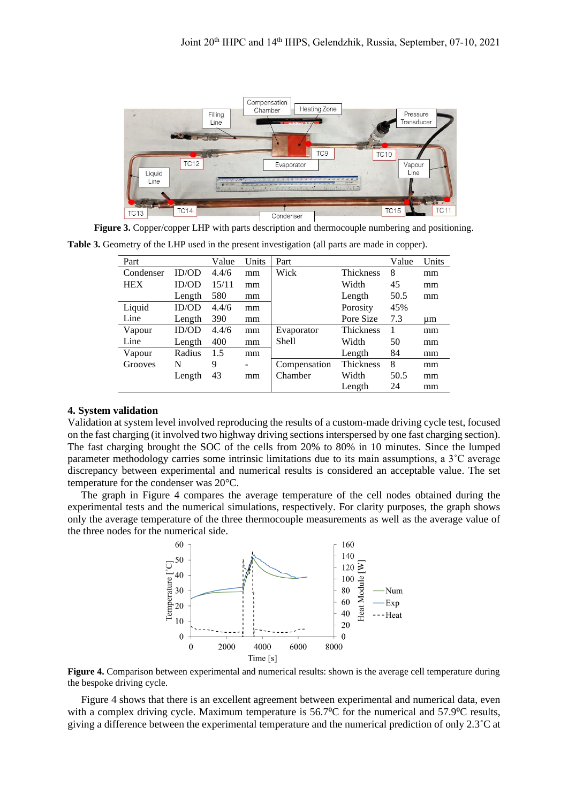

**Figure 3.** Copper/copper LHP with parts description and thermocouple numbering and positioning.

<span id="page-5-1"></span><span id="page-5-0"></span>**Table 3.** Geometry of the LHP used in the present investigation (all parts are made in copper).

| Part       |        | Value | Units | Part         |                  | Value | Units |
|------------|--------|-------|-------|--------------|------------------|-------|-------|
| Condenser  | ID/OD  | 4.4/6 | mm    | Wick         | <b>Thickness</b> | 8     | mm    |
| <b>HEX</b> | ID/OD  | 15/11 | mm    |              | Width            | 45    | mm    |
|            | Length | 580   | mm    |              | Length           | 50.5  | mm    |
| Liquid     | ID/OD  | 4.4/6 | mm    |              | Porosity         | 45%   |       |
| Line       | Length | 390   | mm    |              | Pore Size        | 7.3   | um    |
| Vapour     | ID/OD  | 4.4/6 | mm    | Evaporator   | Thickness        | 1     | mm    |
| Line       | Length | 400   | mm    | <b>Shell</b> | Width            | 50    | mm    |
| Vapour     | Radius | 1.5   | mm    |              | Length           | 84    | mm    |
| Grooves    | N      | 9     | ۰     | Compensation | Thickness        | 8     | mm    |
|            | Length | 43    | mm    | Chamber      | Width            | 50.5  | mm    |
|            |        |       |       |              | Length           | 24    | mm    |

#### **4. System validation**

Validation at system level involved reproducing the results of a custom-made driving cycle test, focused on the fast charging (it involved two highway driving sections interspersed by one fast charging section). The fast charging brought the SOC of the cells from 20% to 80% in 10 minutes. Since the lumped parameter methodology carries some intrinsic limitations due to its main assumptions, a 3˚C average discrepancy between experimental and numerical results is considered an acceptable value. The set temperature for the condenser was 20°C.

The graph in [Figure 4](#page-5-2) compares the average temperature of the cell nodes obtained during the experimental tests and the numerical simulations, respectively. For clarity purposes, the graph shows only the average temperature of the three thermocouple measurements as well as the average value of the three nodes for the numerical side.



<span id="page-5-2"></span>**Figure 4.** Comparison between experimental and numerical results: shown is the average cell temperature during the bespoke driving cycle.

[Figure 4](#page-5-2) shows that there is an excellent agreement between experimental and numerical data, even with a complex driving cycle. Maximum temperature is 56.7<sup>o</sup>C for the numerical and 57.9<sup>o</sup>C results, giving a difference between the experimental temperature and the numerical prediction of only 2.3˚C at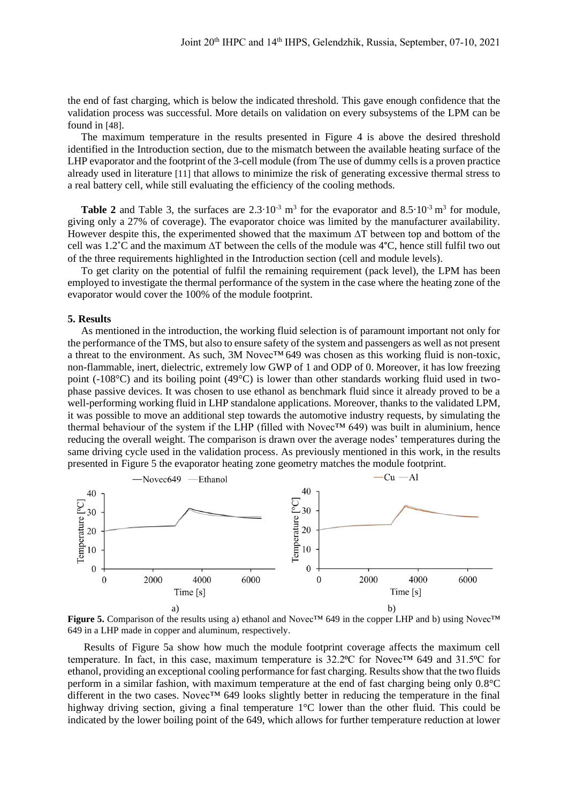the end of fast charging, which is below the indicated threshold. This gave enough confidence that the validation process was successful. More details on validation on every subsystems of the LPM can be found in [48].

The maximum temperature in the results presented in [Figure 4](#page-5-2) is above the desired threshold identified in the Introduction section, due to the mismatch between the available heating surface of the LHP evaporator and the footprint of the 3-cell module (from The use [of dummy cells is a proven practice](#page-4-1)  already used in literature [11] that allows to minimize the risk of [generating excessive thermal stress](#page-4-1) to [a real battery cell, while still evaluating the efficiency of the cooling methods.](#page-4-1)

**[Table 2](#page-4-1)** and [Table 3,](#page-5-1) the surfaces are  $2.3 \cdot 10^{-3}$  m<sup>3</sup> for the evaporator and  $8.5 \cdot 10^{-3}$  m<sup>3</sup> for module, giving only a 27% of coverage). The evaporator choice was limited by the manufacturer availability. However despite this, the experimented showed that the maximum ∆T between top and bottom of the cell was 1.2˚C and the maximum ∆T between the cells of the module was 4°C, hence still fulfil two out of the three requirements highlighted in the Introduction section (cell and module levels).

To get clarity on the potential of fulfil the remaining requirement (pack level), the LPM has been employed to investigate the thermal performance of the system in the case where the heating zone of the evaporator would cover the 100% of the module footprint.

#### **5. Results**

As mentioned in the introduction, the working fluid selection is of paramount important not only for the performance of the TMS, but also to ensure safety of the system and passengers as well as not present a threat to the environment. As such, 3M Novec™ 649 was chosen as this working fluid is non-toxic, non-flammable, inert, dielectric, extremely low GWP of 1 and ODP of 0. Moreover, it has low freezing point (-108°C) and its boiling point (49°C) is lower than other standards working fluid used in twophase passive devices. It was chosen to use ethanol as benchmark fluid since it already proved to be a well-performing working fluid in LHP standalone applications. Moreover, thanks to the validated LPM, it was possible to move an additional step towards the automotive industry requests, by simulating the thermal behaviour of the system if the LHP (filled with Novec™ 649) was built in aluminium, hence reducing the overall weight. The comparison is drawn over the average nodes' temperatures during the same driving cycle used in the validation process. As previously mentioned in this work, in the results presented in [Figure 5](#page-6-0) the evaporator heating zone geometry matches the module footprint.



<span id="page-6-0"></span>**Figure 5.** Comparison of the results using a) ethanol and Novec™ 649 in the copper LHP and b) using Novec™ 649 in a LHP made in copper and aluminum, respectively.

Results of [Figure 5a](#page-6-0) show how much the module footprint coverage affects the maximum cell temperature. In fact, in this case, maximum temperature is 32.2℃ for Novec<sup>™</sup> 649 and 31.5℃ for ethanol, providing an exceptional cooling performance for fast charging. Results show that the two fluids perform in a similar fashion, with maximum temperature at the end of fast charging being only 0.8°C different in the two cases. Novec™ 649 looks slightly better in reducing the temperature in the final highway driving section, giving a final temperature 1<sup>o</sup>C lower than the other fluid. This could be indicated by the lower boiling point of the 649, which allows for further temperature reduction at lower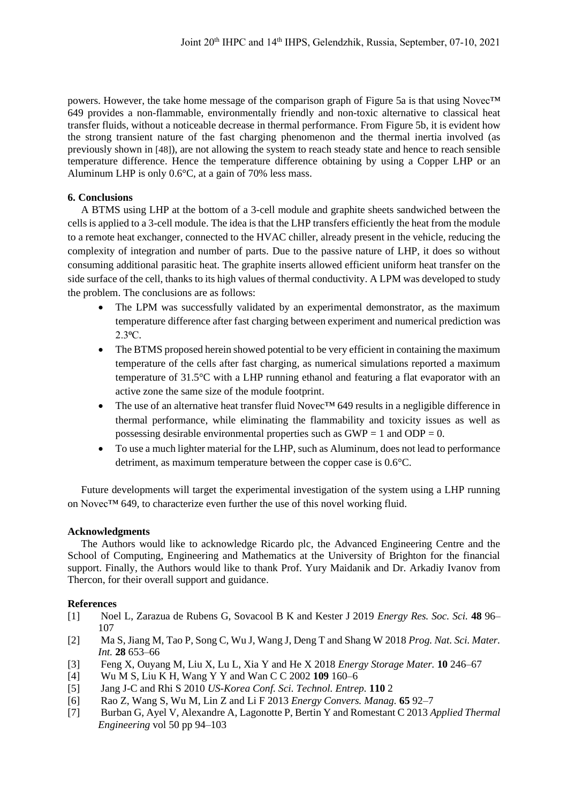powers. However, the take home message of the comparison graph of [Figure 5a](#page-6-0) is that using Novec™ 649 provides a non-flammable, environmentally friendly and non-toxic alternative to classical heat transfer fluids, without a noticeable decrease in thermal performance. From [Figure 5b](#page-6-0), it is evident how the strong transient nature of the fast charging phenomenon and the thermal inertia involved (as previously shown in [48]), are not allowing the system to reach steady state and hence to reach sensible temperature difference. Hence the temperature difference obtaining by using a Copper LHP or an Aluminum LHP is only 0.6°C, at a gain of 70% less mass.

# **6. Conclusions**

A BTMS using LHP at the bottom of a 3-cell module and graphite sheets sandwiched between the cells is applied to a 3-cell module. The idea is that the LHP transfers efficiently the heat from the module to a remote heat exchanger, connected to the HVAC chiller, already present in the vehicle, reducing the complexity of integration and number of parts. Due to the passive nature of LHP, it does so without consuming additional parasitic heat. The graphite inserts allowed efficient uniform heat transfer on the side surface of the cell, thanks to its high values of thermal conductivity. A LPM was developed to study the problem. The conclusions are as follows:

- The LPM was successfully validated by an experimental demonstrator, as the maximum temperature difference after fast charging between experiment and numerical prediction was 2.3⁰C.
- The BTMS proposed herein showed potential to be very efficient in containing the maximum temperature of the cells after fast charging, as numerical simulations reported a maximum temperature of 31.5°C with a LHP running ethanol and featuring a flat evaporator with an active zone the same size of the module footprint.
- The use of an alternative heat transfer fluid Novec<sup>™</sup> 649 results in a negligible difference in thermal performance, while eliminating the flammability and toxicity issues as well as possessing desirable environmental properties such as  $GWP = 1$  and  $ODP = 0$ .
- To use a much lighter material for the LHP, such as Aluminum, does not lead to performance detriment, as maximum temperature between the copper case is 0.6°C.

Future developments will target the experimental investigation of the system using a LHP running on Novec™ 649, to characterize even further the use of this novel working fluid.

## **Acknowledgments**

The Authors would like to acknowledge Ricardo plc, the Advanced Engineering Centre and the School of Computing, Engineering and Mathematics at the University of Brighton for the financial support. Finally, the Authors would like to thank Prof. Yury Maidanik and Dr. Arkadiy Ivanov from Thercon, for their overall support and guidance.

## **References**

- [1] Noel L, Zarazua de Rubens G, Sovacool B K and Kester J 2019 *Energy Res. Soc. Sci.* **48** 96– 107
- [2] Ma S, Jiang M, Tao P, Song C, Wu J, Wang J, Deng T and Shang W 2018 *Prog. Nat. Sci. Mater. Int.* **28** 653–66
- [3] Feng X, Ouyang M, Liu X, Lu L, Xia Y and He X 2018 *Energy Storage Mater.* **10** 246–67
- [4] Wu M S, Liu K H, Wang Y Y and Wan C C 2002 **109** 160–6
- [5] Jang J-C and Rhi S 2010 *US-Korea Conf. Sci. Technol. Entrep.* **110** 2
- [6] Rao Z, Wang S, Wu M, Lin Z and Li F 2013 *Energy Convers. Manag.* **65** 92–7
- [7] Burban G, Ayel V, Alexandre A, Lagonotte P, Bertin Y and Romestant C 2013 *Applied Thermal Engineering* vol 50 pp 94–103